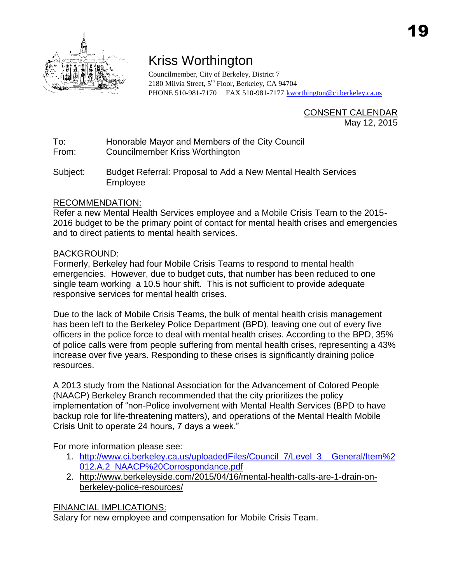

## Kriss Worthington

Councilmember, City of Berkeley, District 7 2180 Milvia Street, 5<sup>th</sup> Floor, Berkeley, CA 94704 PHONE 510-981-7170 FAX 510-981-7177 [kworthington@ci.berkeley.ca.us](mailto:kworthington@ci.berkeley.ca.us)

> CONSENT CALENDAR May 12, 2015

To: Honorable Mayor and Members of the City Council

From: Councilmember Kriss Worthington

Subject: Budget Referral: Proposal to Add a New Mental Health Services Employee

## RECOMMENDATION:

Refer a new Mental Health Services employee and a Mobile Crisis Team to the 2015- 2016 budget to be the primary point of contact for mental health crises and emergencies and to direct patients to mental health services.

## BACKGROUND:

Formerly, Berkeley had four Mobile Crisis Teams to respond to mental health emergencies. However, due to budget cuts, that number has been reduced to one single team working a 10.5 hour shift. This is not sufficient to provide adequate responsive services for mental health crises.

Due to the lack of Mobile Crisis Teams, the bulk of mental health crisis management has been left to the Berkeley Police Department (BPD), leaving one out of every five officers in the police force to deal with mental health crises. According to the BPD, 35% of police calls were from people suffering from mental health crises, representing a 43% increase over five years. Responding to these crises is significantly draining police resources.

A 2013 study from the National Association for the Advancement of Colored People (NAACP) Berkeley Branch recommended that the city prioritizes the policy implementation of "non-Police involvement with Mental Health Services (BPD to have backup role for life-threatening matters), and operations of the Mental Health Mobile Crisis Unit to operate 24 hours, 7 days a week."

For more information please see:

- 1. [http://www.ci.berkeley.ca.us/uploadedFiles/Council\\_7/Level\\_3\\_\\_General/Item%2](http://www.ci.berkeley.ca.us/uploadedFiles/Council_7/Level_3__General/Item%2012.A.2_NAACP%20Corrospondance.pdf) [012.A.2\\_NAACP%20Corrospondance.pdf](http://www.ci.berkeley.ca.us/uploadedFiles/Council_7/Level_3__General/Item%2012.A.2_NAACP%20Corrospondance.pdf)
- 2. http://www.berkeleyside.com/2015/04/16/mental-health-calls-are-1-drain-onberkeley-police-resources/

## FINANCIAL IMPLICATIONS:

Salary for new employee and compensation for Mobile Crisis Team.